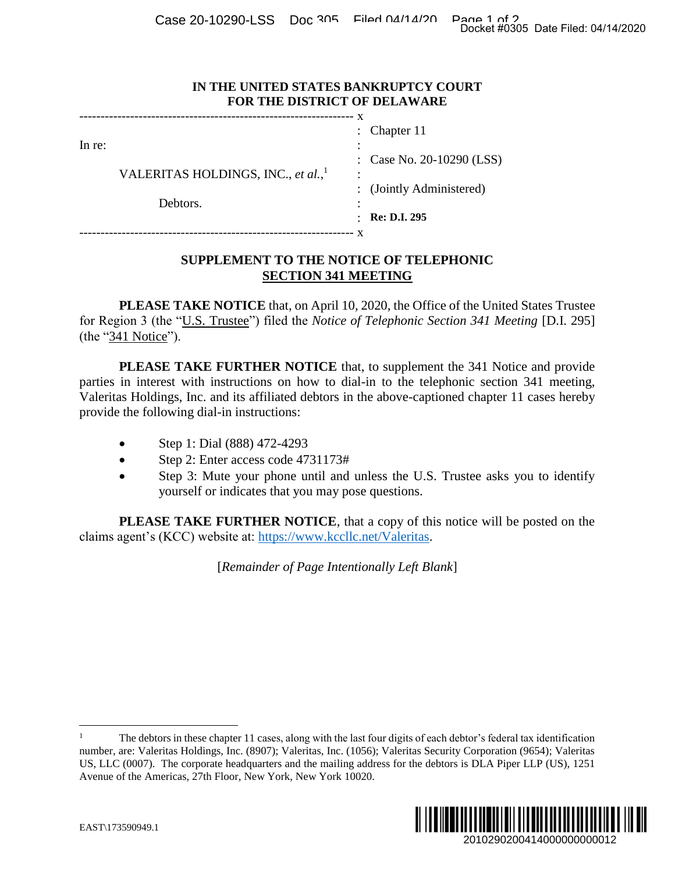Case 20-10290-LSS Doc 305 Filed 04/14/20 Page 1 of 2<br>Docket #0305 Date Filed: 04/14/2020

## **IN THE UNITED STATES BANKRUPTCY COURT FOR THE DISTRICT OF DELAWARE**

|        |                                                |           | : Chapter $11$            |
|--------|------------------------------------------------|-----------|---------------------------|
| In re: |                                                |           |                           |
|        |                                                |           | : Case No. 20-10290 (LSS) |
|        | VALERITAS HOLDINGS, INC., et al., <sup>1</sup> | $\bullet$ |                           |
|        |                                                |           | : (Jointly Administered)  |
|        | Debtors.                                       |           |                           |
|        |                                                |           | <b>Re: D.I. 295</b>       |
|        |                                                |           |                           |

## **SUPPLEMENT TO THE NOTICE OF TELEPHONIC SECTION 341 MEETING**

**PLEASE TAKE NOTICE** that, on April 10, 2020, the Office of the United States Trustee for Region 3 (the "U.S. Trustee") filed the *Notice of Telephonic Section 341 Meeting* [D.I. 295] (the "341 Notice").

**PLEASE TAKE FURTHER NOTICE** that, to supplement the 341 Notice and provide parties in interest with instructions on how to dial-in to the telephonic section 341 meeting, Valeritas Holdings, Inc. and its affiliated debtors in the above-captioned chapter 11 cases hereby provide the following dial-in instructions: Docket #0305 Date Filed: 04/14/2020<br>
2010 (LSS)<br>
2010 (LSS)<br>
2010<br>
2010<br>
2011 Notice and provide<br>
2011 Notice and provide<br>
2011 Notice and provide<br>
2012<br>
20102902004140000000000012<br>
201029020041400000000000012<br>
2010290200

- Step 1: Dial (888) 472-4293
- Step 2: Enter access code 4731173#
- Step 3: Mute your phone until and unless the U.S. Trustee asks you to identify yourself or indicates that you may pose questions.

**PLEASE TAKE FURTHER NOTICE**, that a copy of this notice will be posted on the claims agent's (KCC) website at: [https://www.kccllc.net/Valeritas.](https://www.kccllc.net/Valeritas)

[*Remainder of Page Intentionally Left Blank*]

<sup>1</sup> The debtors in these chapter 11 cases, along with the last four digits of each debtor's federal tax identification number, are: Valeritas Holdings, Inc. (8907); Valeritas, Inc. (1056); Valeritas Security Corporation (9654); Valeritas US, LLC (0007). The corporate headquarters and the mailing address for the debtors is DLA Piper LLP (US), 1251 Avenue of the Americas, 27th Floor, New York, New York 10020.



 $\overline{a}$